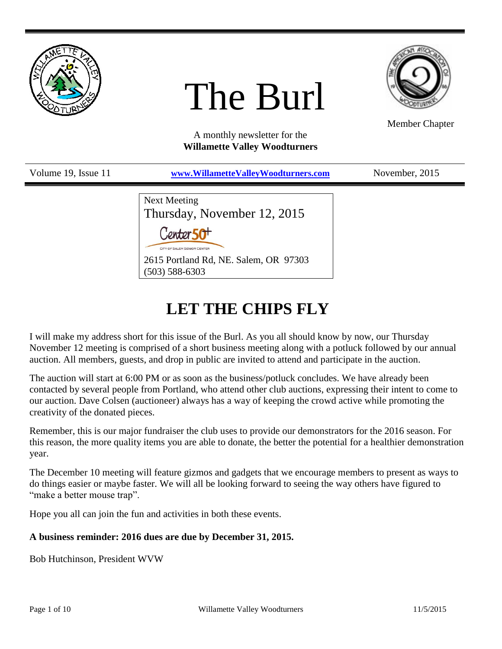

# The Burl



Member Chapter

A monthly newsletter for the **Willamette Valley Woodturners**

| Volume 19, Issue 11 | www.WillametteValleyWoodturners.com                                  | November, 2015 |
|---------------------|----------------------------------------------------------------------|----------------|
|                     | <b>Next Meeting</b>                                                  |                |
|                     | Thursday, November 12, 2015<br>Center 50 <sup>+</sup>                |                |
|                     | CITY OF SALEM SENIOR CENTER<br>2615 Portland Rd, NE. Salem, OR 97303 |                |

# **LET THE CHIPS FLY**

I will make my address short for this issue of the Burl. As you all should know by now, our Thursday November 12 meeting is comprised of a short business meeting along with a potluck followed by our annual auction. All members, guests, and drop in public are invited to attend and participate in the auction.

The auction will start at 6:00 PM or as soon as the business/potluck concludes. We have already been contacted by several people from Portland, who attend other club auctions, expressing their intent to come to our auction. Dave Colsen (auctioneer) always has a way of keeping the crowd active while promoting the creativity of the donated pieces.

Remember, this is our major fundraiser the club uses to provide our demonstrators for the 2016 season. For this reason, the more quality items you are able to donate, the better the potential for a healthier demonstration year.

The December 10 meeting will feature gizmos and gadgets that we encourage members to present as ways to do things easier or maybe faster. We will all be looking forward to seeing the way others have figured to "make a better mouse trap".

Hope you all can join the fun and activities in both these events.

## **A business reminder: 2016 dues are due by December 31, 2015.**

(503) 588-6303

Bob Hutchinson, President WVW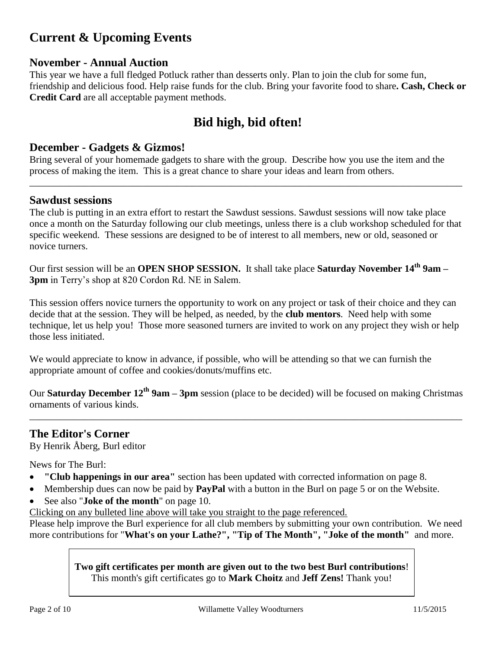# **Current & Upcoming Events**

# **November - Annual Auction**

This year we have a full fledged Potluck rather than desserts only. Plan to join the club for some fun, friendship and delicious food. Help raise funds for the club. Bring your favorite food to share**. Cash, Check or Credit Card** are all acceptable payment methods.

# **Bid high, bid often!**

#### **December - Gadgets & Gizmos!**

Bring several of your homemade gadgets to share with the group. Describe how you use the item and the process of making the item. This is a great chance to share your ideas and learn from others.

#### **Sawdust sessions**

The club is putting in an extra effort to restart the Sawdust sessions. Sawdust sessions will now take place once a month on the Saturday following our club meetings, unless there is a club workshop scheduled for that specific weekend. These sessions are designed to be of interest to all members, new or old, seasoned or novice turners.

\_\_\_\_\_\_\_\_\_\_\_\_\_\_\_\_\_\_\_\_\_\_\_\_\_\_\_\_\_\_\_\_\_\_\_\_\_\_\_\_\_\_\_\_\_\_\_\_\_\_\_\_\_\_\_\_\_\_\_\_\_\_\_\_\_\_\_\_\_\_\_\_\_\_\_\_\_\_\_\_\_\_\_\_\_\_\_\_

Our first session will be an **OPEN SHOP SESSION.** It shall take place **Saturday November 14th 9am – 3pm** in Terry's shop at 820 Cordon Rd. NE in Salem.

This session offers novice turners the opportunity to work on any project or task of their choice and they can decide that at the session. They will be helped, as needed, by the **club mentors**. Need help with some technique, let us help you! Those more seasoned turners are invited to work on any project they wish or help those less initiated.

We would appreciate to know in advance, if possible, who will be attending so that we can furnish the appropriate amount of coffee and cookies/donuts/muffins etc.

Our **Saturday December 12th 9am – 3pm** session (place to be decided) will be focused on making Christmas ornaments of various kinds.

\_\_\_\_\_\_\_\_\_\_\_\_\_\_\_\_\_\_\_\_\_\_\_\_\_\_\_\_\_\_\_\_\_\_\_\_\_\_\_\_\_\_\_\_\_\_\_\_\_\_\_\_\_\_\_\_\_\_\_\_\_\_\_\_\_\_\_\_\_\_\_\_\_\_\_\_\_\_\_\_\_\_\_\_\_\_\_\_

## **The Editor's Corner**

By Henrik Åberg, Burl editor

News for The Burl:

- **"Club happenings in our area"** [section has been updated with corrected](#page-8-0) information on page [8.](#page-7-0)
- [Membership dues can now be paid by](#page-4-0) **PayPal** with a button in the Burl on page [5](#page-4-0) or on the Website.
- See also "**[Joke of the month](#page-9-0)**" on page [10.](#page-9-0)
- Clicking on any bulleted line above will take you straight to the page referenced.

Please help improve the Burl experience for all club members by submitting your own contribution. We need more contributions for "**What's on your Lathe?", "Tip of The Month", "Joke of the month"** and more.

> **Two gift certificates per month are given out to the two best Burl contributions**! This month's gift certificates go to **Mark Choitz** and **Jeff Zens!** Thank you!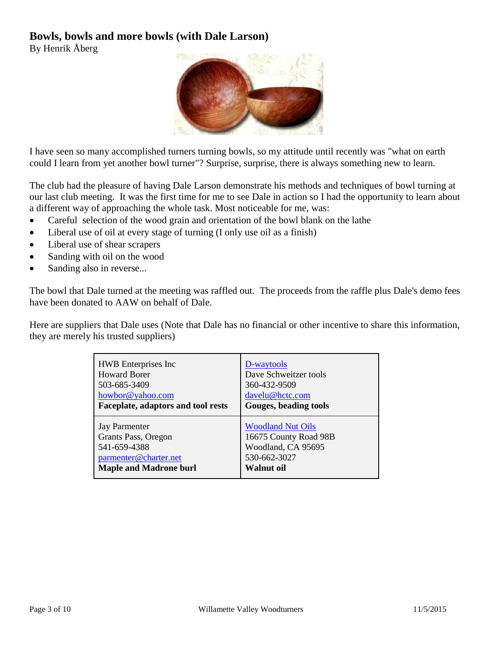# **Bowls, bowls and more bowls (with Dale Larson)**

By Henrik Åberg



I have seen so many accomplished turners turning bowls, so my attitude until recently was "what on earth could I learn from yet another bowl turner"? Surprise, surprise, there is always something new to learn.

The club had the pleasure of having Dale Larson demonstrate his methods and techniques of bowl turning at our last club meeting. It was the first time for me to see Dale in action so I had the opportunity to learn about a different way of approaching the whole task. Most noticeable for me, was:

- Careful selection of the wood grain and orientation of the bowl blank on the lathe
- Liberal use of oil at every stage of turning (I only use oil as a finish)
- Liberal use of shear scrapers
- Sanding with oil on the wood
- Sanding also in reverse...

The bowl that Dale turned at the meeting was raffled out. The proceeds from the raffle plus Dale's demo fees have been donated to AAW on behalf of Dale.

Here are suppliers that Dale uses (Note that Dale has no financial or other incentive to share this information, they are merely his trusted suppliers)

| <b>HWB</b> Enterprises Inc         | D-waytools               |
|------------------------------------|--------------------------|
| <b>Howard Borer</b>                | Dave Schweitzer tools    |
| 503-685-3409                       | 360-432-9509             |
| howbor@yahoo.com                   | davelu@hctc.com          |
| Faceplate, adaptors and tool rests | Gouges, beading tools    |
| <b>Jay Parmenter</b>               | <b>Woodland Nut Oils</b> |
| Grants Pass, Oregon                | 16675 County Road 98B    |
| 541-659-4388                       | Woodland, CA 95695       |
| parmenter@charter.net              | 530-662-3027             |
| <b>Maple and Madrone burl</b>      | Walnut oil               |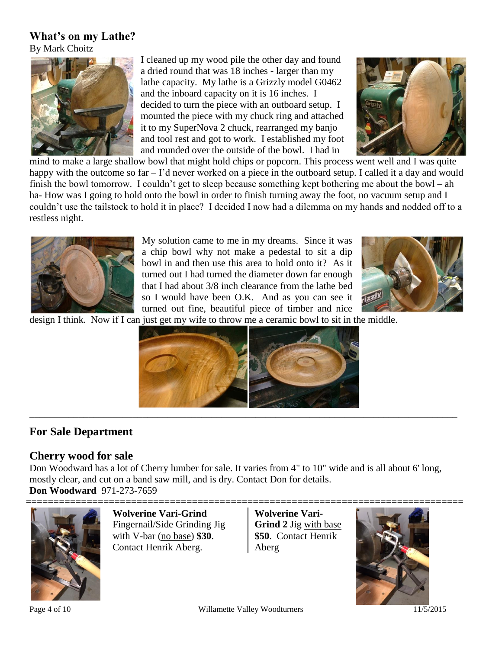## **What's on my Lathe?**

By Mark Choitz



I cleaned up my wood pile the other day and found a dried round that was 18 inches - larger than my lathe capacity. My lathe is a Grizzly model G0462 and the inboard capacity on it is 16 inches. I decided to turn the piece with an outboard setup. I mounted the piece with my chuck ring and attached it to my SuperNova 2 chuck, rearranged my banjo and tool rest and got to work. I established my foot and rounded over the outside of the bowl. I had in



mind to make a large shallow bowl that might hold chips or popcorn. This process went well and I was quite happy with the outcome so far – I'd never worked on a piece in the outboard setup. I called it a day and would finish the bowl tomorrow. I couldn't get to sleep because something kept bothering me about the bowl – ah ha- How was I going to hold onto the bowl in order to finish turning away the foot, no vacuum setup and I couldn't use the tailstock to hold it in place? I decided I now had a dilemma on my hands and nodded off to a restless night.



My solution came to me in my dreams. Since it was a chip bowl why not make a pedestal to sit a dip bowl in and then use this area to hold onto it? As it turned out I had turned the diameter down far enough that I had about 3/8 inch clearance from the lathe bed so I would have been O.K. And as you can see it turned out fine, beautiful piece of timber and nice



design I think. Now if I can just get my wife to throw me a ceramic bowl to sit in the middle.



# **For Sale Department**

## **Cherry wood for sale**

Don Woodward has a lot of Cherry lumber for sale. It varies from 4" to 10" wide and is all about 6' long, mostly clear, and cut on a band saw mill, and is dry. Contact Don for details. **Don Woodward** 971-273-7659



**Wolverine Vari-Grind** Fingernail/Side Grinding Jig with V-bar (no base) **\$30**. Contact [Henrik Aberg.](#page-9-1)

**Wolverine Vari-Grind 2** Jig with base **\$50**. Contact [Henrik](#page-9-1)  [Aberg](#page-9-1)

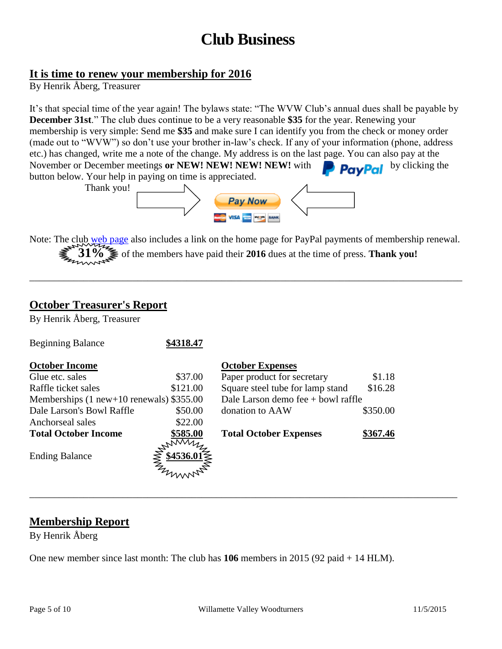# **Club Business**

#### <span id="page-4-0"></span>**It is time to renew your membership for 2016**

By Henrik Åberg, Treasurer

It's that special time of the year again! The bylaws state: "The WVW Club's annual dues shall be payable by **December 31st**." The club dues continue to be a very reasonable **\$35** for the year. Renewing your membership is very simple: Send me **\$35** and make sure I can identify you from the check or money order (made out to "WVW") so don't use your brother in-law's check. If any of your information (phone, address etc.) has changed, write me a note of the change. My address is on the last page. You can also pay at the November or December meetings or NEW! NEW! NEW! NEW! with November or December meetings or NEW! NEW! NEW! NEW! with button below. Your help in paying on time is appreciated.



Note: The club [web page](http://www.willamettevalleywoodturners.com/) also includes a link on the home page for PayPal payments of membership renewal. **31%** of the members have paid their **2016** dues at the time of press. **Thank you!**

\_\_\_\_\_\_\_\_\_\_\_\_\_\_\_\_\_\_\_\_\_\_\_\_\_\_\_\_\_\_\_\_\_\_\_\_\_\_\_\_\_\_\_\_\_\_\_\_\_\_\_\_\_\_\_\_\_\_\_\_\_\_\_\_\_\_\_\_\_\_\_\_\_\_\_\_\_\_\_\_\_\_\_\_\_\_\_\_

## **October Treasurer's Report**

By Henrik Åberg, Treasurer

| <b>Beginning Balance</b>                   | \$4318.47 |                                      |          |
|--------------------------------------------|-----------|--------------------------------------|----------|
| <b>October Income</b>                      |           | <b>October Expenses</b>              |          |
| Glue etc. sales                            | \$37.00   | Paper product for secretary          | \$1.18   |
| Raffle ticket sales                        | \$121.00  | Square steel tube for lamp stand     | \$16.28  |
| Memberships $(1$ new+10 renewals) \$355.00 |           | Dale Larson demo fee $+$ bowl raffle |          |
| Dale Larson's Bowl Raffle                  | \$50.00   | donation to AAW                      | \$350.00 |
| Anchorseal sales                           | \$22.00   |                                      |          |
| <b>Total October Income</b>                | \$585.00  | <b>Total October Expenses</b>        | \$367.46 |
| <b>Ending Balance</b>                      | AMMAN     |                                      |          |
|                                            |           |                                      |          |

# **Membership Report**

By Henrik Åberg

One new member since last month: The club has **106** members in 2015 (92 paid + 14 HLM).

\_\_\_\_\_\_\_\_\_\_\_\_\_\_\_\_\_\_\_\_\_\_\_\_\_\_\_\_\_\_\_\_\_\_\_\_\_\_\_\_\_\_\_\_\_\_\_\_\_\_\_\_\_\_\_\_\_\_\_\_\_\_\_\_\_\_\_\_\_\_\_\_\_\_\_\_\_\_\_\_\_\_\_\_\_\_\_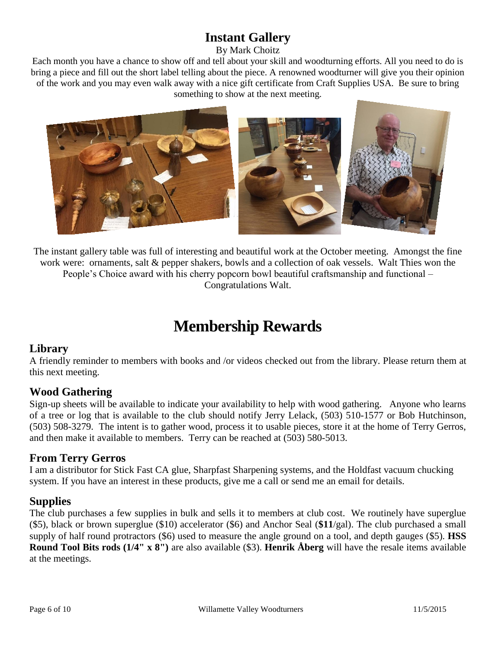# **Instant Gallery**

By Mark Choitz

Each month you have a chance to show off and tell about your skill and woodturning efforts. All you need to do is bring a piece and fill out the short label telling about the piece. A renowned woodturner will give you their opinion of the work and you may even walk away with a nice gift certificate from Craft Supplies USA. Be sure to bring something to show at the next meeting.



The instant gallery table was full of interesting and beautiful work at the October meeting. Amongst the fine work were: ornaments, salt & pepper shakers, bowls and a collection of oak vessels. Walt Thies won the People's Choice award with his cherry popcorn bowl beautiful craftsmanship and functional – Congratulations Walt.

# **Membership Rewards**

# **Library**

A friendly reminder to members with books and /or videos checked out from the library. Please return them at this next meeting.

# **Wood Gathering**

Sign-up sheets will be available to indicate your availability to help with wood gathering. Anyone who learns of a tree or log that is available to the club should notify Jerry Lelack, (503) 510-1577 or Bob Hutchinson, (503) 508-3279. The intent is to gather wood, process it to usable pieces, store it at the home of Terry Gerros, and then make it available to members. Terry can be reached at (503) 580-5013.

# **From Terry Gerros**

I am a distributor for Stick Fast CA glue, Sharpfast Sharpening systems, and the Holdfast vacuum chucking system. If you have an interest in these products, give me a call or send me an email for details.

# **Supplies**

The club purchases a few supplies in bulk and sells it to members at club cost. We routinely have superglue (\$5), black or brown superglue (\$10) accelerator (\$6) and Anchor Seal (**\$11**/gal). The club purchased a small supply of half round protractors (\$6) used to measure the angle ground on a tool, and depth gauges (\$5). **HSS Round Tool Bits rods (1/4" x 8")** are also available (\$3). **Henrik Åberg** will have the resale items available at the meetings.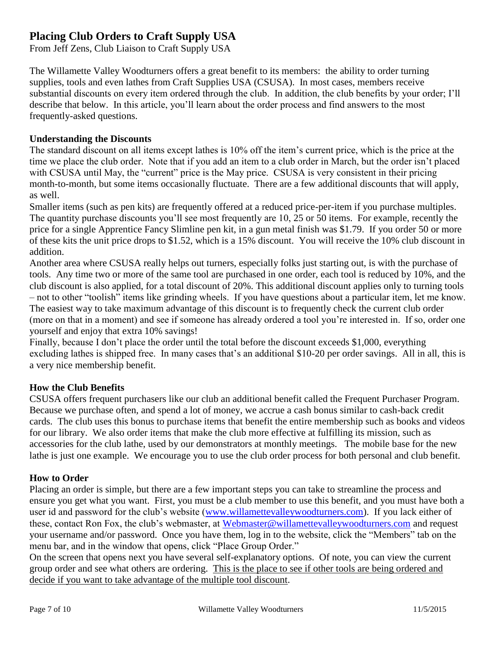# <span id="page-6-0"></span>**Placing Club Orders to Craft Supply USA**

From Jeff Zens, Club Liaison to Craft Supply USA

The Willamette Valley Woodturners offers a great benefit to its members: the ability to order turning supplies, tools and even lathes from Craft Supplies USA (CSUSA). In most cases, members receive substantial discounts on every item ordered through the club. In addition, the club benefits by your order; I'll describe that below. In this article, you'll learn about the order process and find answers to the most frequently-asked questions.

#### **Understanding the Discounts**

The standard discount on all items except lathes is 10% off the item's current price, which is the price at the time we place the club order. Note that if you add an item to a club order in March, but the order isn't placed with CSUSA until May, the "current" price is the May price. CSUSA is very consistent in their pricing month-to-month, but some items occasionally fluctuate. There are a few additional discounts that will apply, as well.

Smaller items (such as pen kits) are frequently offered at a reduced price-per-item if you purchase multiples. The quantity purchase discounts you'll see most frequently are 10, 25 or 50 items. For example, recently the price for a single Apprentice Fancy Slimline pen kit, in a gun metal finish was \$1.79. If you order 50 or more of these kits the unit price drops to \$1.52, which is a 15% discount. You will receive the 10% club discount in addition.

Another area where CSUSA really helps out turners, especially folks just starting out, is with the purchase of tools. Any time two or more of the same tool are purchased in one order, each tool is reduced by 10%, and the club discount is also applied, for a total discount of 20%. This additional discount applies only to turning tools – not to other "toolish" items like grinding wheels. If you have questions about a particular item, let me know. The easiest way to take maximum advantage of this discount is to frequently check the current club order (more on that in a moment) and see if someone has already ordered a tool you're interested in. If so, order one yourself and enjoy that extra 10% savings!

Finally, because I don't place the order until the total before the discount exceeds \$1,000, everything excluding lathes is shipped free. In many cases that's an additional \$10-20 per order savings. All in all, this is a very nice membership benefit.

#### **How the Club Benefits**

CSUSA offers frequent purchasers like our club an additional benefit called the Frequent Purchaser Program. Because we purchase often, and spend a lot of money, we accrue a cash bonus similar to cash-back credit cards. The club uses this bonus to purchase items that benefit the entire membership such as books and videos for our library. We also order items that make the club more effective at fulfilling its mission, such as accessories for the club lathe, used by our demonstrators at monthly meetings. The mobile base for the new lathe is just one example. We encourage you to use the club order process for both personal and club benefit.

#### **How to Order**

Placing an order is simple, but there are a few important steps you can take to streamline the process and ensure you get what you want. First, you must be a club member to use this benefit, and you must have both a user id and password for the club's website [\(www.willamettevalleywoodturners.com\)](http://www.willamettevalleywoodturners.com/). If you lack either of these, contact Ron Fox, the club's webmaster, at [Webmaster@willamettevalleywoodturners.com](mailto:Webmaster@willamettevalleywoodturners.com) and request your username and/or password. Once you have them, log in to the website, click the "Members" tab on the menu bar, and in the window that opens, click "Place Group Order."

On the screen that opens next you have several self-explanatory options. Of note, you can view the current group order and see what others are ordering. This is the place to see if other tools are being ordered and decide if you want to take advantage of the multiple tool discount.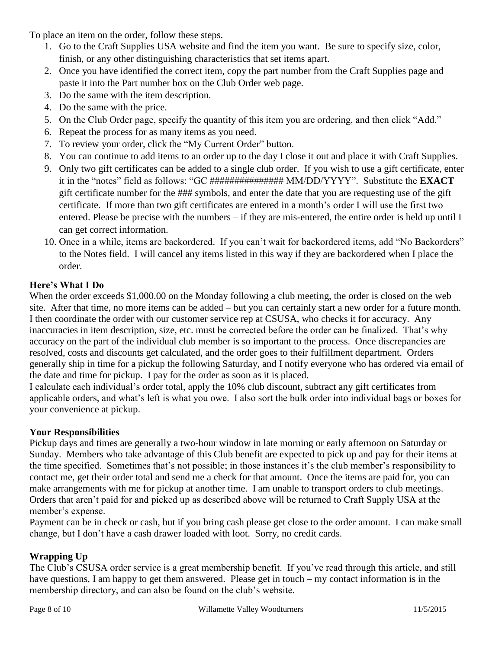<span id="page-7-0"></span>To place an item on the order, follow these steps.

- 1. Go to the Craft Supplies USA website and find the item you want. Be sure to specify size, color, finish, or any other distinguishing characteristics that set items apart.
- 2. Once you have identified the correct item, copy the part number from the Craft Supplies page and paste it into the Part number box on the Club Order web page.
- 3. Do the same with the item description.
- 4. Do the same with the price.
- 5. On the Club Order page, specify the quantity of this item you are ordering, and then click "Add."
- 6. Repeat the process for as many items as you need.
- 7. To review your order, click the "My Current Order" button.
- 8. You can continue to add items to an order up to the day I close it out and place it with Craft Supplies.
- 9. Only two gift certificates can be added to a single club order. If you wish to use a gift certificate, enter it in the "notes" field as follows: "GC ############### MM/DD/YYYY". Substitute the **EXACT** gift certificate number for the ### symbols, and enter the date that you are requesting use of the gift certificate. If more than two gift certificates are entered in a month's order I will use the first two entered. Please be precise with the numbers – if they are mis-entered, the entire order is held up until I can get correct information.
- 10. Once in a while, items are backordered. If you can't wait for backordered items, add "No Backorders" to the Notes field. I will cancel any items listed in this way if they are backordered when I place the order.

## **Here's What I Do**

When the order exceeds \$1,000.00 on the Monday following a club meeting, the order is closed on the web site. After that time, no more items can be added – but you can certainly start a new order for a future month. I then coordinate the order with our customer service rep at CSUSA, who checks it for accuracy. Any inaccuracies in item description, size, etc. must be corrected before the order can be finalized. That's why accuracy on the part of the individual club member is so important to the process. Once discrepancies are resolved, costs and discounts get calculated, and the order goes to their fulfillment department. Orders generally ship in time for a pickup the following Saturday, and I notify everyone who has ordered via email of the date and time for pickup. I pay for the order as soon as it is placed.

I calculate each individual's order total, apply the 10% club discount, subtract any gift certificates from applicable orders, and what's left is what you owe. I also sort the bulk order into individual bags or boxes for your convenience at pickup.

## **Your Responsibilities**

Pickup days and times are generally a two-hour window in late morning or early afternoon on Saturday or Sunday. Members who take advantage of this Club benefit are expected to pick up and pay for their items at the time specified. Sometimes that's not possible; in those instances it's the club member's responsibility to contact me, get their order total and send me a check for that amount. Once the items are paid for, you can make arrangements with me for pickup at another time. I am unable to transport orders to club meetings. Orders that aren't paid for and picked up as described above will be returned to Craft Supply USA at the member's expense.

Payment can be in check or cash, but if you bring cash please get close to the order amount. I can make small change, but I don't have a cash drawer loaded with loot. Sorry, no credit cards.

## **Wrapping Up**

The Club's CSUSA order service is a great membership benefit. If you've read through this article, and still have questions, I am happy to get them answered. Please get in touch – my contact information is in the membership directory, and can also be found on the club's website.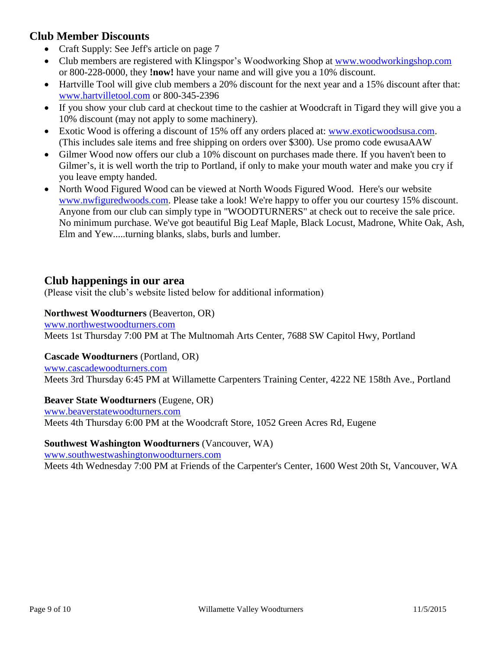# **Club Member Discounts**

- Craft Supply: See Jeff's article on page [7](#page-6-0)
- Club members are registered with Klingspor's Woodworking Shop at www.woodworkingshop.com or 800-228-0000, they **!now!** have your name and will give you a 10% discount.
- Hartville Tool will give club members a 20% discount for the next year and a 15% discount after that: [www.hartvilletool.com](http://www.hartvilletool.com/) or 800-345-2396
- If you show your club card at checkout time to the cashier at Woodcraft in Tigard they will give you a 10% discount (may not apply to some machinery).
- Exotic Wood is offering a discount of 15% off any orders placed at: [www.exoticwoodsusa.com.](http://www.exoticwoodsusa.com/) (This includes sale items and free shipping on orders over \$300). Use promo code ewusaAAW
- Gilmer Wood now offers our club a 10% discount on purchases made there. If you haven't been to Gilmer's, it is well worth the trip to Portland, if only to make your mouth water and make you cry if you leave empty handed.
- North Wood Figured Wood can be viewed at North Woods Figured Wood. Here's our website [www.nwfiguredwoods.com.](http://www.nwfiguredwoods.com/) Please take a look! We're happy to offer you our courtesy 15% discount. Anyone from our club can simply type in "WOODTURNERS" at check out to receive the sale price. No minimum purchase. We've got beautiful Big Leaf Maple, Black Locust, Madrone, White Oak, Ash, Elm and Yew.....turning blanks, slabs, burls and lumber.

# <span id="page-8-0"></span>**Club happenings in our area**

(Please visit the club's website listed below for additional information)

#### **Northwest Woodturners** (Beaverton, OR)

[www.northwestwoodturners.com](http://www.northwestwoodturners.com/) Meets 1st Thursday 7:00 PM at The Multnomah Arts Center, 7688 SW Capitol Hwy, Portland

#### **Cascade Woodturners** (Portland, OR)

[www.cascadewoodturners.com](http://www.cascadewoodturners.com/) Meets 3rd Thursday 6:45 PM at Willamette Carpenters Training Center, 4222 NE 158th Ave., Portland

#### **Beaver State Woodturners** (Eugene, OR)

[www.beaverstatewoodturners.com](http://www.beaverstatewoodturners.com/) Meets 4th Thursday 6:00 PM at the Woodcraft Store, 1052 Green Acres Rd, Eugene

#### **Southwest Washington Woodturners** (Vancouver, WA)

[www.southwestwashingtonwoodturners.com](http://www.southwestwashingtonwoodturners.com/)

Meets 4th Wednesday 7:00 PM at Friends of the Carpenter's Center, 1600 West 20th St, Vancouver, WA